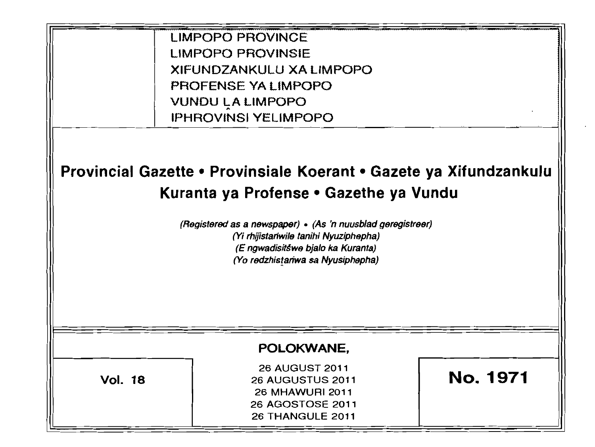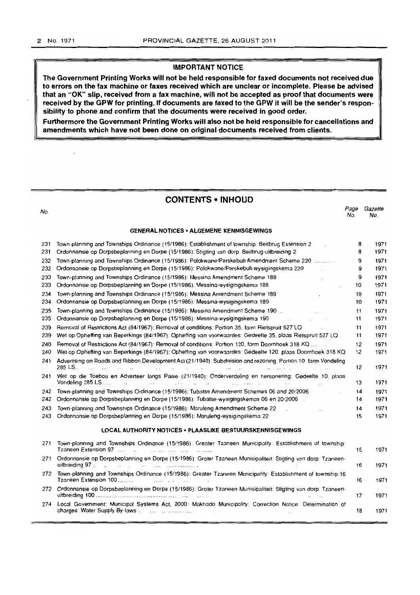$\ddot{\phantom{0}}$ 

# **IMPORTANT NOTICE**

**The Government Printing Works will not be held responsible for faxed documents not received due to errors on the fax machine or faxes received which are unclear or incomplete. Please be advised that an "OK" slip, received from a fax machine, will not be accepted as proof that documents were received by the GPW for printing. If documents are faxed to the GPW it will be the sender's responsibility to phone and confirm that the documents were received in good order.** 

Furthermore the Government Printing Works will also not be held responsible for cancellations and **amendments which have not been done on original documents received from clients.** 

# **CONTENTS • INHOUD**

| No.        |                                                                                                                                                                                                                                                                                                                                                                             | Page<br>No. | Gazette<br>No. |
|------------|-----------------------------------------------------------------------------------------------------------------------------------------------------------------------------------------------------------------------------------------------------------------------------------------------------------------------------------------------------------------------------|-------------|----------------|
|            | <b>GENERAL NOTICES • ALGEMENE KENNISGEWINGS</b>                                                                                                                                                                                                                                                                                                                             |             |                |
| 231        | Town-planning and Townships Ordinance (15/1986): Establishment of township: Beitbrug Extension 2<br>$\sim$                                                                                                                                                                                                                                                                  | 8           | 1971           |
| 231        | Ordonnansie op Dorpsbeplanning en Dorpe (15/1986): Stigting van dorp: Beitbrug-uitbreiding 2                                                                                                                                                                                                                                                                                | 8           | 1971           |
| 232<br>232 | Town-planning and Townships Ordinance (15/1986): Polokwane/Perskebult Amendment Scheme 220<br>Ordonnansie op Dorpsbeplanning en Dorpe (15/1986): Polokwane/Perskebult-wysigingskema 220                                                                                                                                                                                     | 9<br>9      | 1971<br>1971   |
| 233        | Town-planning and Townships Ordinance (15/1986): Messina Amendment Scheme 188<br><b>Contract Contract</b>                                                                                                                                                                                                                                                                   | 9           | 1971           |
| 233        | Ordonnansie op Dorpsbeplanning en Dorpe (15/1986): Messina-wysigingskema 188                                                                                                                                                                                                                                                                                                | 10          | 1971           |
| 234        | Town-planning and Townships Ordinance (15/1986); Messina Amendment Scheme 189<br><b>Contract Contract</b>                                                                                                                                                                                                                                                                   | 10          | 1971           |
| 234        | Ordonnansie op Dorpsbeplanning en Dorpe (15/1986): Messina-wysigingskema 189                                                                                                                                                                                                                                                                                                | 10          | 1971           |
| 235        | Town-planning and Townships Ordinance (15/1986): Messina Amendment Scheme 190 [16] The County of The County of                                                                                                                                                                                                                                                              | 11          | 1971           |
| 235        | Ordonnansie op Dorpsbeplanning en Dorpe (15/1986): Messina-wysigingskema 190<br>and the control of the control of the                                                                                                                                                                                                                                                       | 11          | 1971           |
| 239        | Removal of Restrictions Act (84/1967): Removal of conditions: Portion 35, farm Rietspruit 527 LQ<br><b>Contractor</b>                                                                                                                                                                                                                                                       | 11          | 1971           |
| 239        | Wet op Opheffing van Beperkings (84/1967): Opheffing van voorwaardes: Gedeelte 35. plaas Rietspruit 527 LO                                                                                                                                                                                                                                                                  | 11          | 1971           |
| 240        | Removal of Restrictions Act (84/1967): Removal of conditions: Portion 120, farm Doornhoek 318 KQ                                                                                                                                                                                                                                                                            | 12          | 1971           |
| 240        | Wet op Opheffing van Beperkings (84/1967): Opheffing van voorwaardes: Gedeelte 120. plaas Doornhoek 318 KQ                                                                                                                                                                                                                                                                  | 12          | 1971           |
| 241        | Advertising on Roads and Ribbon Development Act (21/1940): Subdivision and rezoning: Portion 10 farm Vondeling<br>285 LS<br>المنادر المتواصلين والمستحدث والمتعارض والمتعارض والمتحارب والمستحدث والمستحدث والمستحدث<br>and and a state                                                                                                                                     | 12          | 1971           |
| 241        | Wet op die Toebou en Adverteer langs Paaie (21/1940): Onderverdeling en hersonering: Gedeelte 10. plaas<br>Vondeling 285 LS<br>المناصب والمستحدث والمتحدث والمستحدث والمستحدث والمستحدث والمناصب                                                                                                                                                                            | 13          | 1971           |
| 242        | Town-planning and Townships Ordinance (15/1986): Tubatse Amendment Schemes 06 and 20/2006                                                                                                                                                                                                                                                                                   | 14          | 1971           |
| 242        | Ordonnansie op Dorpsbeplanning en Dorpe (15/1986): Tubatse-wysigingskemas 06 en 20/2006                                                                                                                                                                                                                                                                                     | 14          | 1971           |
| 243        | Town-planning and Townships Ordinance (15/1986): Maruleng Amendment Scheme 22<br>the company of the company of the                                                                                                                                                                                                                                                          | 14          | 1971           |
| 243        | Ordonnansie op Dorpsbeplanning en Dorpe (15/1986): Maruleng-wysigingskema 22                                                                                                                                                                                                                                                                                                | 15          | 1971           |
|            | LOCAL AUTHORITY NOTICES . PLAASLIKE BESTUURSKENNISGEWINGS                                                                                                                                                                                                                                                                                                                   |             |                |
| 271        | Town-planning and Townships Ordinance (15/1986): Greater Tzaneen Municipality: Establishment of township:                                                                                                                                                                                                                                                                   | 15          | 1971           |
| 271        | Ordonnansie op Dorpsbeplanning en Dorpe (15/1986): Groter Tzaneen Munisipaliteit: Stigting van dorp: Tzaneen-                                                                                                                                                                                                                                                               | 16          | 1971           |
| 272        | Town-planning and Townships Ordinance (15/1986): Greater Tzaneen Municipality: Establishment of township:16<br>Tzaneen Extension 100<br>$\mathbf{r}$ . The second contract of the second contract of the second contract of the second contract of the second contract of the second contract of the second contract of the second contract of the second contract of the   | 16          | 1971           |
| 272        | Ordonnansie op Dorpsbeplanning en Dorpe (15/1986): Groter Tzaneen Munisipaliteit: Stigting van dorp: Tzaneen-                                                                                                                                                                                                                                                               | 17          | 1971           |
| 274        | Local Government: Municipal Systems Act, 2000: Makhado Municipality: Correction Notice. Determination of<br>charges: Water Supply By-laws<br>and the complete state of the complete state of the complete state of the complete state of the complete state of the complete state of the complete state of the complete state of the complete state of the complete state o | 18          | 1971           |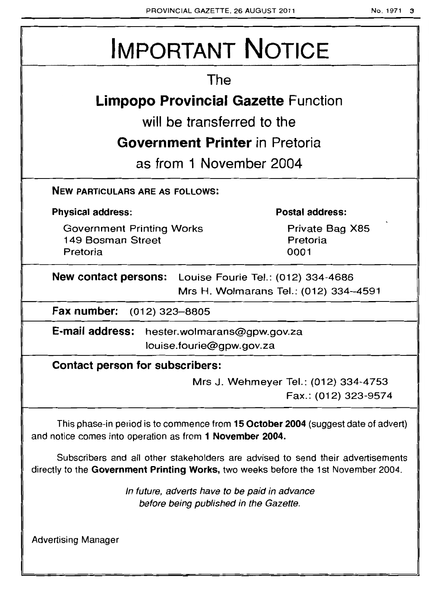# IMPORTANT NOTICE

# The

# **Limpopo Provincial Gazette** Function

will be transferred to the

# **Government Printer** in Pretoria

as from 1 November 2004

NEW PARTICULARS ARE AS FOLLOWS:

Physical address:

Government Printing Works 149 Bosman Street Pretoria

Postal address:

Private Bag X85 Pretoria 0001

New contact persons: Louise Fourie Tel.: (012) 334-4686 Mrs H. Wolmarans Tel.: (012) 334-4591

Fax number: (012) 323-8805

E-mail address: hester.wolmarans@gpw.gov.za louise.fourie@gpw.gov.za

Contact person for subscribers:

Mrs J. Wehmeyer Tel.: (012) 334-4753 Fax.: (012) 323-9574

This phase-in period is to commence from 15 October 2004 (suggest date of advert) and notice comes into operation as from 1 November 2004.

Subscribers and all other stakeholders are advised to send their advertisements directly to the Government Printing Works, two weeks before the 1st November 2004.

> In future, adverts have to be paid in advance before being published in the Gazette.

Advertising Manager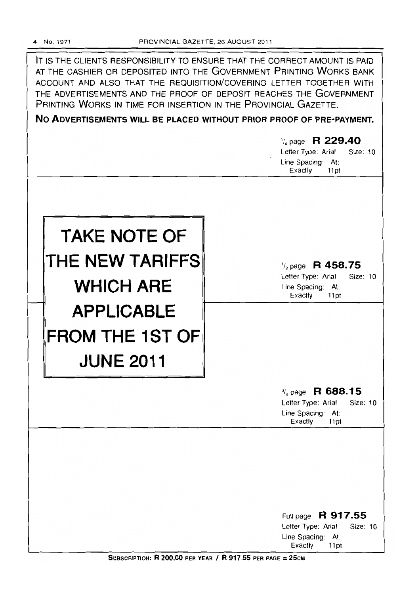IT IS THE CLIENTS RESPONSIBILITY TO ENSURE THAT THE CORRECT AMOUNT IS PAID AT THE CASHIER OR DEPOSITED INTO THE GOVERNMENT PRINTING WORKS BANK ACCOUNT AND ALSO THAT THE REQUISITION/COVERING LETTER TOGETHER WITH THE ADVERTISEMENTS AND THE PROOF OF DEPOSIT REACHES THE GOVERNMENT PRINTING WORKS IN TIME FOR INSERTION IN THE PROVINCIAL GAZETTE.

**No ADVERTISEMENTS WILL BE PLACED WITHOUT PRIOR PROOF OF PRE-PAYMENT.** 

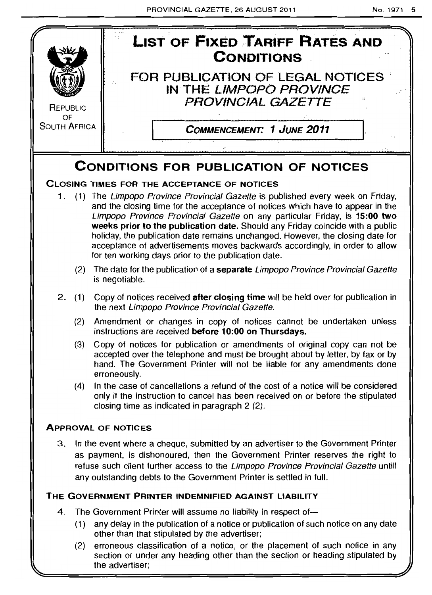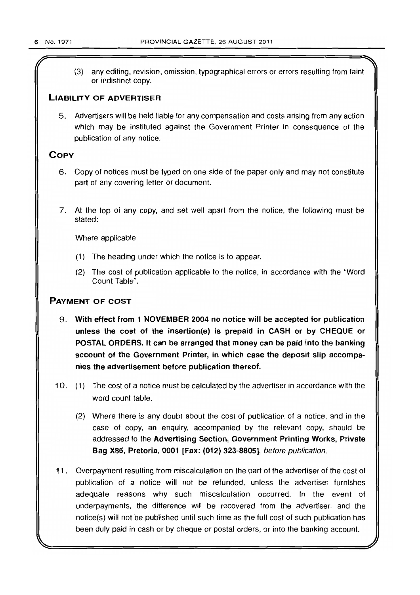(3) any editing, revision, omission, typographical errors or errors resulting from faint or indistinct copy.

# LIABILITY OF ADVERTISER

5. Advertisers will be held liable for any compensation and costs arising from any action which may be instituted against the Government Printer in consequence of the publication of any notice.

# **COPY**

- 6. Copy of notices must be typed on one side of the paper only and may not constitute part of any covering letter or document.
- 7. At the top of any copy, and set well apart from the notice, the following must be stated:

Where applicable

- (1) The heading under which the notice is to appear.
- (2) The cost of publication applicable to the notice, in accordance with the "Word Count Table".

# PAYMENT OF COST

- 9. With effect from 1 NOVEMBER 2004 no notice will be accepted for publication unless the cost of the insertion(s) is prepaid in CASH or by CHEQUE or POSTAL ORDERS. It can be arranged that money can be paid into the banking account of the Government Printer, in which case the deposit slip accompanies the advertisement before publication thereof.
- 10. (1) The cost of a notice must be calculated by the advertiser in accordance with the word count table.
	- (2) Where there is any doubt about the cost of publication of a notice, and in the case of copy, an enquiry, accompanied by the relevant copy, should be addressed to the Advertising Section, Government Printing Works, Private Bag X85, Pretoria, 0001 [Fax: (012) 323-8805], before publication.
- 11. Overpayment resulting from miscalculation on the part of the advertiser of the cost of publication of a notice will not be refunded, unless the advertiser furnishes adequate reasons why such miscalculation occurred. In the event of underpayments, the difference will be recovered from the advertiser, and the notice(s) will not be published until such time as the full cost of such publication has been duly paid in cash or by cheque or postal orders, or into the banking account.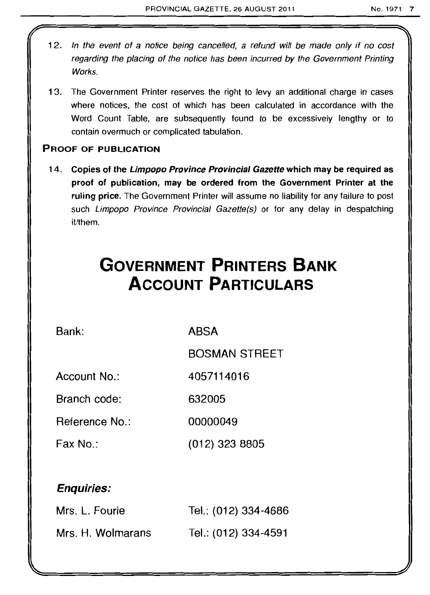- 12. In the event of a notice being cancelled, a refund will be made only if no cost regarding the placing of the notice has been incurred by the Government Printing Works.
- 13. The Government Printer reserves the right to levy an additional charge in cases where notices, the cost of which has been calculated in accordance with the Word Count Table, are subsequently found to be excessively lengthy or to contain overmuch or complicated tabulation.

# PROOF OF PUBLICATION

14. Copies of the Limpopo Province Provincial Gazette which may be required as proof of publication, may be ordered from the Government Printer at the ruling price. The Government Printer will assume no liability for any failure to post such Limpopo Province Provincial Gazette(s) or for any delay in despatching it/them.

# **GOVERNMENT PRINTERS BANK ACCOUNT PARTICULARS**

4057114016

Bank:

ABSA

BOSMAN STREET

Account No.:

Branch code: 632005

Reference No.: 00000049

Fax No.: (012) 323 8805

# Enquiries:

| Mrs. L. Fourie    | Tel.: (012) 334-4686 |
|-------------------|----------------------|
| Mrs. H. Wolmarans | Tel.: (012) 334-4591 |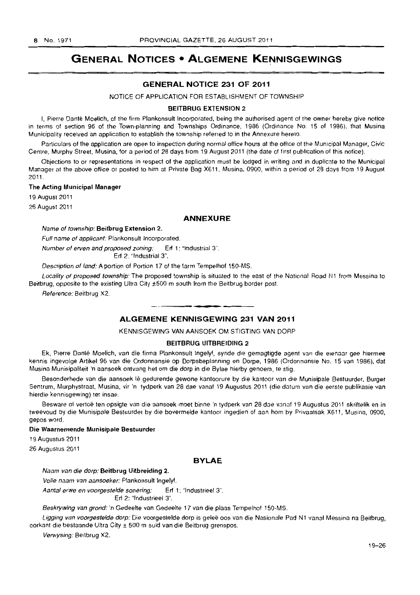# **GENERAL NOTICES • ALGEMENE KENNISGEWINGS**

# **GENERAL NOTICE 231 OF 2011**

NOTICE OF APPLICATION FOR ESTABLISHMENT OF TOWNSHIP

#### BEITBRUG EXTENSION 2

I, Pierre Danté Moelich, of the firm Plankonsult Incorporated, being the authorised agent of the owner hereby give notice in terms of section 96 of the Town-planning and Townships Ordinance. 1986 (Ordinance No. 15 of 1986). that Musina Municipality received an application to establish the township referred to in the Annexure hereto.

Particulars of the application are open to inspection during normal office hours at the office of the Municipal Manager, Civic Centre. Murphy Street, Musina, for a period of 28 days from 19 August 2011 (the date of first publication 01 this notice).

Objections to or representations in respect of the application must be lodged in writing and in duplicate to the Municipal Manager at the above office or posted to him at Private Bag X611, Musina, 0900, within a period of 28 days from 19 August 2011.

#### The Acting Municipal Manager

19 August 2011

26 August 2011

#### **ANNEXURE**

#### Name of township: Beitbrug Extension 2.

Full name of applicant: Plankonsult Incorporated.

Number of erven and proposed zoning: Erf 1: "Industrial 3".

Erf 2: "Industrial 3".

Description of land: A portion of Portion 17 of the farm Tempelhof ISO-MS.

Locality of proposed township: The proposed township is situated to the east of the National Road N1 from Messina to Beitbrug, opposite to the existing Ultra City ±500 m south from the Beitbrug border post.

Reference: Beitbrug X2.

# . **- . ALGEMENE KENNISGEWING 231 VAN 2011**

KENNISGEWING VAN AANSOEK OM STIGTING VAN DORP

## BEITBRUG UITBREIOING 2

Ek, Pierre Danté Moelich, van die firma Plankonsult Ingelyf, synde die gemagtigde agent van die eienaar gee hiermee kennis ingevolge Artikel 96 van die Ordonnansie op Dorpsbeplanning en Dorpe, 1986 (Ordonnansie No. 15 van 1986), dat Musina Munisipaliteit 'n aansoek ontvang het om die dorp in die Bylae hierby genoem, Ie stig.

Besonderhede van die aansoek Iê gedurende gewone kantoorure by die kantoor van die Munisipale Bestuurder, Burger Sentrum, Murphystraat, Musina, vir 'n tydperk van 28 dae vanaf 19 Augustus 2011 (die datum van die eerste publikasie van hierdie kennisgewing) ter insae.

Besware of vertoë ten opsigte van die aansoek moet binne 'n tydperk van 28 dae vanaf 19 Augustus 2011 skriftelik en in tweevoud by die Munisipale Bestuurder by die bovermelde kantoor ingedien of aan hom by Privaatsak X611, Musina, 0900, gepos word.

#### Die Waarnemende Munisipale Bestuurder

19 Augustus 2011

26 Augustus 2011

# **BYLAE**

Naam van die dorp: Beitbrug Uitbreiding 2.

Volle naam van aansoeker: Plankonsult Ingelyf.

Aantal erwe en voorgestelde sonering: Erf 1: "Industrieel 3".

Erf 2: "Industrieel 3".

Beskrywing van grond: 'n Gedeelte van Gedeelte 17 van die plaas Tempelhof 150-MS.

Ligging van voorgestelde dorp: Die voorgestelde dorp is geleë oos van die Nasionale Pad N1 vanaf Messina na Beitbrug, oorkant die bestaande Ultra City ± 500 m suid van die Beitbrug grenspos.

Verwysing: Beitbrug X2.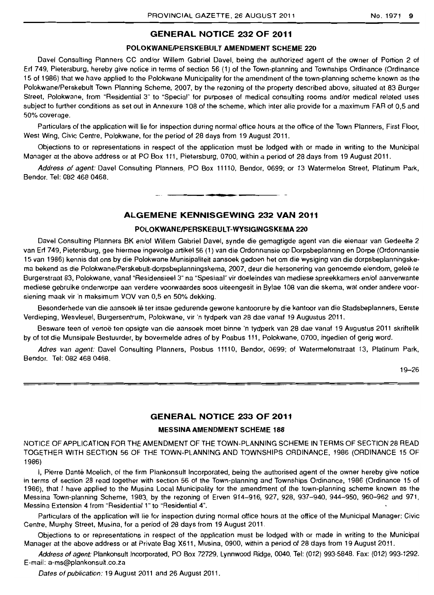# **GENERAL NOTICE 232 OF 2011**

#### **POlOKWANElPERSKEBUlT AMENDMENT SCHEME 220**

Davel Consulting Planners CC and/or Willem Gabriel Davel, being the authorized agent of the owner of Portion 2 of Erf 749, Pietersburg, hereby give notice in terms of section 56 (1) of the Town-planning and Townships Ordinance (Ordinance 15 of 1986) that we have applied to the Polokwane Municipality for the amendment of the town-planning scheme known as the Polokwane/Perskebult Town Planning Scheme. 2007, by the rezoning of the property described above, situated at 83 Burger Street, Polokwane, from "Residential 3" to "Special" for purposes of medical consulting rooms and/or medical related uses subject to further conditions as set out in Annexure 108 of the scheme, which inter alia provide for a maximum FAR of 0,5 and 50% coverage.

Particulars of the application will lie for inspection during normal office hours at the office of the Town Planners, First Floor, West Wing. Civic Centre, Polokwane, for the period of 28 days from 19 August 2011.

Objections to or representations in respect of the application must be lodged with or made in writing to the Municipal Manager at the above address or at PO Box 111, Pietersburg. 0700, within a period of 28 days from 19 August 2011.

Address of agent: Davel Consulting Planners, PO Box 11110, Bendor. 0699; or 13 Watermelon Street, Platinum Park, Bendor. Tel: 082 468 0468.

. **--**

# **ALGEMENE KENNISGEWING 232 VAN 2011**

# **POlOKWANElPERSKEBULT-WYSIGINGSKEMA 220**

Davel Consulting Planners BK en/of Willem Gabriel Davel, synde die gemagtigde agent van die eienaar van Gedeelte 2 van Erf 749, Pietersburg, gee hiermee ingevolge artikel 56 (1) van die Ordonnansie op Dorpsbeplanning en Dorpe (Ordonnansie 15 van 1986) kennis dat ons by die Polokwane Munisipaliteit aansoek gedoen het om die wysiging van die dorpsbeplanningskema bekend as die Polokwane/Perskebult-dorpsbeplanningskema, 2007, deur die hersonering van genoemde eiendom, geleë te Burgerstraat 83, Polokwane, vanal "Residensieel 3" na "Spesiaal" vir doeleindes van mediese spreekkamers en/of aanverwante mediese gebruike onderworpe aan verdere voorwaardes soos uiteengesit in Bylae 108 van die skema, wat onder andere voorsiening maak vir 'n maksimum VOV van 0,5 en 50% dekking.

Besonderhede *van* die aansoek Ie ter insae gedurende gewone kantoorure by die kantoor van die Stadsbeplanners, Eerste Verdieping. Wesvleuel, Burgersentrum, Polokwane, vir 'n tydperk van 28 dae vanaf 19 Augustus 2011,

Besware teen of vertoë ten opsigte van die aansoek moet binne 'n tydperk van 28 dae vanaf 19 Augustus 2011 skriftelik by of tot die Munsipale Bestuurder. by bovermelde adres of by Posbus 111, Polokwane, 0700. ingedien of gerig word.

Adres van agent: Davel Consulting Planners, Posbus **11110,** Bendor, 0699; of Watermelonstraat 13, Platinum Park, Bendor. Tel: 082 468 0468.

19-26

# **GENERAL NOTICE 233 OF 2011**

#### **MESSINA AMENDMENT SCHEME 188**

NOTICE OF APPLICATION FOR THE AMENDMENT OF THE TOWN-PLANNING SCHEME IN TERMS OF SECTION 28 READ TOGETHER WITH SECTION 56 OF THE TOWN-PLANNING AND TOWNSHIPS ORDINANCE, 1986 (ORDINANCE 15 OF 1986)

I, Pierre Danté Moelich, of the firm Plankonsult Incorporated, being the authorised agent of the owner hereby give notice in terms of section 28 read together with section 56 of the Town-planning and Townships Ordinance, 1986 (Ordinance 15 of 1986), that I have applied to the Musina Local Municipality for the amendment of the town-planning scheme known as the Messina Town-planning Scheme, 1983, by the rezoning of Erven 914-916. 927, 928. 937-940, 944-950, 960-962 and 971, Messina Extension 4 from "Residential 1" to "Residential 4".

Particulars of the application will lie for inspection during normal office hours at the office of the Municipal Manager: Civic Centre, Murphy Street, Musina, for a period of 28 days from 19 August 2011.

Objections to or representations in respect of the application must be lodged with or made in writing to the Municipal Manager at the above address or at Private Bag X611, Musina, 0900, within a period of 28 days from 19 August 2011.

Address of agent: Plankonsult Incorporated. PO Box 72729, Lynnwood Ridge, 0040. Tel: (012) 993-5848. Fax: (012) 993-1292. E-mail: a-ms@plankonsult.co.za

Dates of publication: 19 August 2011 and 26 August 2011.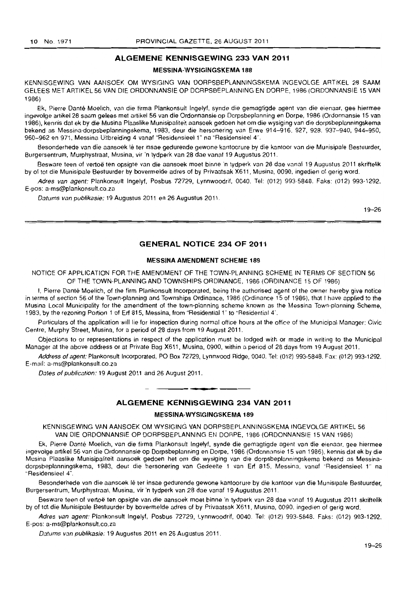# **ALGEMENE KENNISGEWING 233 VAN 2011**

#### **MESSINA-WYSIGINGSKEMA 188**

KENNISGEWING VAN AANSOEK OM WYSIGING VAN DORPSBEPlANNINGSKEMA INGEVOLGE ARTIKEL 28 SAAM GElEES MET ARTIKEL 56 VAN DIE ORDONNANSIE OP DORPSBEPLANNING EN DORPE, 1986 (ORDONNANSIE 15 VAN 1986)

Ek, Pierre Dante Moelich. van die firma Plankonsult Ingelyf. synde die gemagtigde agent van die eienaar. gee hiermee ingevolge artikel 28 saam gelees met artikel 56 van die Ordonnansie op Dorpsbeplanning en Dorpe, 1986 (Ordonnansie 15 van 1986), kennis dat ek by die Musina Plaaslike Munisipaiiteit aansoek gedoen het om die wysiging van die dorpsbeplanningskema bekend as Messina-dorpsbeplanningskema, 1983. deur die hersonering van Erwe 914-916. 927, 928. 937-940. 944-950, 960-962 en 971, Messina Uitbreiding 4 vanaf "Residensieel 1" na "Residensieel 4".

Besonderhede van die aansoek lê ter insae gedurende gewone kantoorure by die kantoor van die Munisipale Bestuurder, Burgersentrum. Murphystraat, Musina, vir 'n tydperk van 28 dae vanaf 19 Augustus 2011.

Besware teen of vertoë ten opsigte van die aansoek moet binne 'n tydperk van 28 dae vanaf 19 Augustus 2011 skriftelik by of tot die Munisipale Bestuurder by bovermelde adres of by Privaatsak X611, Musina, 0090, ingedien of gerig word.

Adres van agent: Plankonsult Ingelyf, Posbus 72729, Lynnwoodrif. 0040. Tel: (012) 993·5848. Faks: (012) 993-1292. E-pos: a-ms@plankonsult.co.za

Datums van publikasie: 19 Augustus 2011 en 26 Augustus 2011.

19-26

### **GENERAL NOTICE 234 OF 2011**

#### **MESSINA AMENDMENT SCHEME 189**

NOTICE OF APPLICATION FOR THE AMENDMENT OF THE TOWN·PLANNING SCHEME IN TERMS OF SECTION 56 OF THE TOWN·PLANNING AND TOWNSHIPS ORDINANCE, 1986 (ORDINANCE 15 OF 1986)

I, Pierre Danté Moelich, of the firm Plankonsult Incorporated, being the authorised agent of the owner hereby give notice in terms of section 56 of the Town-planning and Townships Ordinance, 1986 (Ordinance 15 of 1986), that I have applied to the Musina Local Municipality for the amendment of the town-planning scheme known as the Messina Town-planning Scheme, 1983, by the rezoning Portion 1 of Erf 815, Messina, from "Residential 1" to "Residential 4'.

Particulars of the application will lie for inspection during normal office hours at the office of the Municipal Manager: Civic Centre, Murphy Street, Musina, for a period of 28 days from 19 August 2011.

Objections to or representations in respect of the application must be lodged with or mnde in writing to the Municipal Manager at the above address or at Private Bag X611, Musina, 0900, within a period of 28 days from 19 August 2011.

Address of agent: Plankonsult Incorporated, PO Box 72729, lynnwood Ridge, 0040. Tel: (012) 993-5848. Fax: (012) 993-1292. E-mail: a-ms@plankonsult.co.za

Dates of publication: 19 August 2011 and 26 August 2011.

#### . **-. ALGEMENE KENNISGEWING 234 VAN 2011**

#### **MESSINA-WYSIGINGSKEMA 189**

KENNISGEWING VAN AANSOEK OM WYSIGING VAN DORPSBEPLANNINGSKEMA INGEVOlGE ARTIKEL 56 VAN DIE ORDONNANSIE OP DORPSBEPLANNING EN DORPE, 1986 (ORDONNANSIE 15 VAN 1986)

Ek, Pierre Dante Moelich, van die firma Plankonsult Ingelyl, synde die gemagtigde agent van die eienaar, gee hiermee ingevolge artikel 56 van die Ordonnansie op Dorpsbeplanning en Dorpe, 1986 (Ordonnansie 15 van 1986). kennis dat ek by die Musina Plaaslike Munisipaliteit aansoek gedoen het om die wysiging van die dorpsbeplanningskema bekend as Messina· dorpsbeplanningskema, 1983, deur die hersonering van Gedeelte 1 van Erf 815, Messina, vanaf "Residensieel 1" na 'Residensieel 4".

Besonderhede van die aansoek Ie ter insae gedurende gewone kantoorure by die kantoor van die Munisipale Bestuurder, Burgersentrum, Murphystraat, Musina, vir 'n tydperk van 28 dae vanaf 19 Augustus 2011.

Besware teen of vertoë ten opsigte van die aansoek moet binne 'n tydperk van 28 dae vanaf 19 Augustus 2011 skriftelik by of tot die Munisipale Bestuurder by bovermelde adres of by Privaatsak X611, Musina. 0090. ingedien of gerig word.

Adres van agent: Plankonsult Ingelyf, Posbus 72729, Lynnwoodrif, 0040. Tel: (012) 993-5848. Faks: (012) 993-1292. E-pos: a-ms@plankonsult.co.za

Datums van publikasie: 19 Augustus 2011 en 26 Augustus 2011.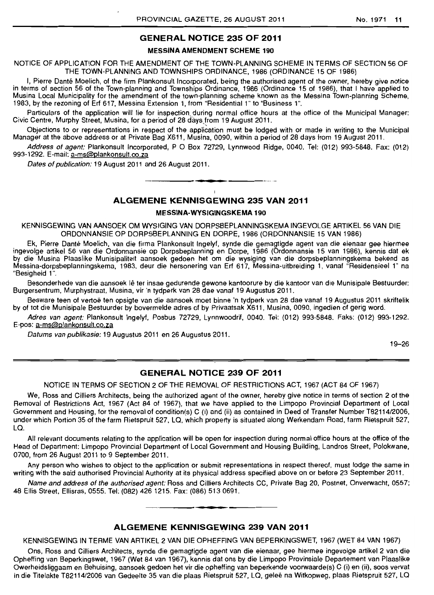# **GENERAL NOTICE 235 OF 2011**

#### MESSINA AMENDMENT **SCHEME 190**

NOTICE OF APPLICATION FOR THE AMENDMENT OF THE TOWN-PLANNING SCHEME IN TERMS OF SECTION 56 OF THE TOWN-PLANNING AND TOWNSHIPS ORDINANCE, 1986 (ORDINANCE 15 OF 1986)

I, Pierre Danté Moelich, of the firm Plankonsult Incorporated, being the authorised agent of the owner, hereby give notice in terms of section 56 of the Town-planning and Townships Ordinance. 1986 (Ordinance 15 of 1986), that I have applied to Musina Local Municipality for the amendment of the town-planning scheme known as the Messina Town-planning Scheme, 1983, by the rezoning of Erf 617, Messina Extension 1, from "Residential 1" to "Business 1".

Particulars of the application will lie for inspection during normal office hours at the office of the Municipal Manager: Civic Centre, Murphy Street, Musina, for a period of 28 days from 19 August 2011.

Objections to or representations in respect of the application must be lodged with or made in writing to the Municipal Manager at the above address or at Private Bag X611, Musina, 0090, within a period of 28 days from 19 August 2011.

Address of agent: Plankonsult Incorporated, P O Box 72729, Lynnwood Ridge, 0040. Tel: (012) 993-5848. Fax: (012) 993-1292. E-mail: a-ms@plankonsult.co.za

Dates of publication: 19 August 2011 and 26 August 2011.

# **ALGEMENE KENNISGEWING 235 VAN 2011**

• **• •** 

#### **MESSINA-WYSIGINGSKEMA 190**

KENNISGEWING VAN AANSOEK OM WYSIGING VAN DORPSBEPLANNINGSKEMA INGEVOLGE ARTIKEL 56 VAN DIE ORDONNANSIE OP DORPSBEPLANNING EN DORPE, 1986 (ORDONNANSIE 15 VAN 1986)

Ek, Pierre Dante Moelich, van die firma Plankonsult Ingelyf, synde die gemagtigde agent van die eienaar gee hiermee ingevolge artikel 56 van die Ordonnansie op Dorpsbeplanning en Dorpe, 1986 (Ordonnansie 15 van 1986), kennis dat ek by die Musina Plaaslike Munisipaliteit aansoek gedoen het om die wysiging van die dorpsbeplanningskema bekend as Messina-dorpsbeplanningskema, 1983, deur die hersonering van Erf 617, Messina-uitbreiding 1. vanaf "Residensieel 1" na "Besigheid 1".

Besonderhede van die aansoek lê ter insae gedurende gewone kantoorure by die kantoor van die Munisipale Bestuurder: Burgersentrum, Murphystraat, Musina, vir 'n tydperk van 28 dae vanaf 19 Augustus 2011.

Besware teen of vertoe ten opsigte van die aansoek moet binne 'n tydperk van 28 dae vanaf 19 Augustus 2011 skriftelik by of tot die Munisipale Bestuurder by bovermelde adres of by Privaatsak X611, Musina, 0090, ingedien of gerig word.

Adres van agent: Plankonsult Ingelyf, Posbus 72729, Lynnwoodrif, 0040. Tel: (012) 993-5848. Faks: (012) 993-1292. E-pos: a-ms@plankonsult.co.za

Datums van publikasie: 19 Augustus 2011 en 26 Augustus 2011.

19-26

# **GENERAL NOTICE 239 OF 2011**

NOTICE IN TERMS OF SECTION 2 OF THE REMOVAL OF RESTRICTIONS ACT, 1967 (ACT 84 OF 1967)

We, Ross and Cilliers Architects, being the authorized agent of the owner, hereby give notice in terms of section 2 of the Removal of Restrictions Act, 1967 (Act 84 of 1967), that we have applied to the Limpopo Provincial Department of Local Government and Housing. for the removal of condition(s) C (i) and (ii) as contained in Deed of Transfer Number T8211412006, under which Portion 35 of the farm Rietspruit 527, LQ, which property is situated along Werkendam Road, farm Rietspruit 527, La.

All relevant documents relating to the application will be open for inspection during normal office hours at the office of the Head of Department: Limpopo Provincial Department of Local Government and Housing Building, Landros Street, Polokwane, 0700, from 26 August 2011 to 9 September 2011.

Any person who wishes to object to the application or submit representations in respect thereof, must lodge the same in writing with the said authorised Provincial Authority at its physical address specified above on or before 23 September 2011.

Name and address of the authorised agent: Ross and Cilliers Architects CC, Private Bag 20, Postnet, Onverwacht, 0557; 48 Ellis Street, Ellisras, 0555. Tel: (082) 426 1215. Fax: (086) 513 0691 . . **- .** 

# **ALGEMENE KENNISGEWING 239 VAN 2011**

KENNISGEWING IN TERME VAN ARTIKEL 2 VAN DIE OPHEFFING VAN BEPERKINGSWET. 1967 (WET 84 VAN 1967)

Ons, Ross and Cilliers Architects, synde die gemagtigde agent van die eienaar, gee hiermee ingevolge artikel 2 van die Opheffing van Beperkingswet, 1967 (Wet 84 van 1967), kennis dat ons by die Limpopo Provinsiale Departement van Plaaslike Owerheidsliggaam en Behuising. aansoek gedoen het vir die opheffing van beperkende voorwaarde(s) C (i) en (ii), soos vervat in die Titelakte T82114/2006 van Gedeelte 35 van die plaas Rietspruit 527, LQ, geleë na Witkopweg, plaas Rietspruit 527, LQ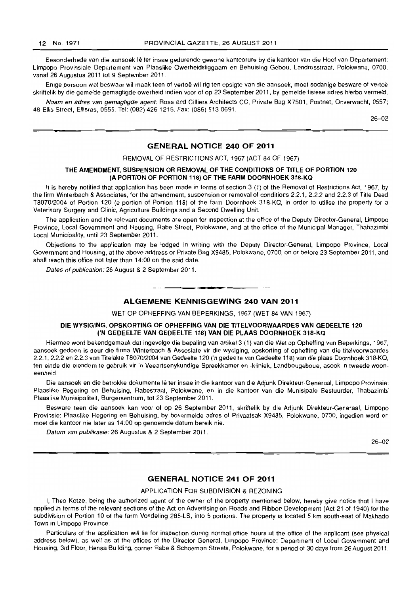Besonderhede van die aansoek Ie ter insae gedurende gewone kantoorure by die kantoor van die Hoof van Departement: Limpopo Provinsiale Departement van Plaaslike Owerheidsliggaam en Behuising Gebou, Landrosstraat, Polokwane, 0700, vanaf 26 Augustus 2011 tot 9 September 2011.

Enige persoon wat beswaar wil maak teen of vertoe wil rig ten opsigte van die aansoek, moet sodanige besware of vertoe skriftelik by die gemelde gemagtigde owerheid indien voor of op 23 September 2011, by gemelde fisiese adres hierbo vermeld.

Naam en adres van gemagtigde agent: Ross and Cilliers Architects CC, Private Bag X7501, Postnet, Onverwacht, 0557; 48 Ellis Street, Ellisras, 0555. Tel: (082) 4261215, Fax: (086) 513 0691

26-02

# GENERAL NOTICE 240 OF 2011

#### REMOVAL OF RESTRICTIONS ACT, 1967 (ACT 84 OF 1967)

#### THE AMENDMENT, SUSPENSION OR REMOVAL OF THE CONDITIONS OF TITLE OF PORTION 120 (A PORTION OF PORTION 118) OF THE FARM DOORNHOEK 318-KO

It is hereby notified that application has been made in terms of section 3 (1) of the Removal of Restrictions Act, 1967, by the firm Winterbach & Associates, for the amendment, suspension or removal of conditions 2.2.1, 2.2.2 and 2.2.3 of Title Deed T8070/2004 of Portion 120 (a portion of Portion 118) of the farm Doornhoek 318-KO, in order to utilise the property for a Veterinary Surgery and Clinic, Agriculture Buildings and a Second Dwelling Unit.

The application and the relevant documents are open for inspection at the office of the Deputy Director-General, Limpopo Province, Local Government and Housing, Rabe Street, Polokwane, and at the office of the Municipal Manager, Thabazimbi Local Municipality, until 23 September 2011.

Objections to the application may be lodged in writing with the Deputy Director-General, Limpopo Province, Local Government and Housing, at the above address or Private Bag X9485, Polokwane, 0700, on or before 23 September 2011, and shall reach this office not later than 14:00 on the said date,

Dates of publication: 26 August & 2 September 2011.

# -**--** ALGEMENE KENNISGEWING 240 VAN 2011

WET OP OPHEFFING VAN BEPERKINGS, 1967 (WET 84 VAN 1967)

#### DIE WYSIGING, OPSKORTING OF OPHEFFING VAN DIE TITELVOORWAARDES VAN GEDEELTE 120 ('N GEDEELTE VAN GEDEELTE 118) VAN DIE PLAAS DOORNHOEK 318-KO

Hiermee word bekendgemaak dat ingevolge die bepaling van artikel 3 (1) van die Wet op Opheffing van Beperkings, 1967, aansoek gedoen is deur die firma Winterbach & Assosiate vir die wysiging, opskorting of opheffing van die titelvoorwaardes 2.2.1, 2.2,2 en 2.2,3 van Titelakte T8070/2004 van Gedeelte 120 ('n gedeelte van Gedeelte 118) van die plaas Doornhoek 318-KO, ten einde die eiendom te gebruik vir 'n Veeartsenykundige Spreekkamer en -kliniek, Landbougeboue, asook 'n tweede wooneenheid.

Die aansoek en die betrokke dokumente Ie ter insae in die kantoor van die Adjunk Direkteur-Generaal, Limpopo Provinsie: Plaaslike Regering en Behuising, Rabestraat, Polokwane, en in die kantoor van die Munisipale Bestuurder, Thabazimbi Plaaslike Munisipaliteit, Burgersentrum, tot 23 September 2011.

Besware teen die aansoek kan voor of op 26 September 2011, skriftelik by die Adjunk Direkteur-Generaal, Limpopo Provinsie: Plaaslike Regering en Behuising, by bovermelde adres of Privaatsak X9485, Polokwane, 0700, ingedien word en moet die kantoor nie later as 14:00 op genoemde datum bereik nie.

Datum van publikasie: 26 Augustus & 2 September 2011.

26-02

# GENERAL NOTICE 241 OF 2011

## APPLICATION FOR SUBDIVISION & REZONING

I, Theo Kotze, being the authorized agent of the owner of the property mentioned below, hereby give notice that I have applied in terms of the relevant sections of the Act on Advertising on Roads and Ribbon Development (Act 21 of 1940) for the subdivision of Portion 10 of the farm Vondeling 285-LS, into 5 portions, The property is located 5 km south-east of Makhado Town in Limpopo Province,

Particulars of the application will lie for inspection during normal office hours at the office of the applicant (see physical address below), as well as at the offices of the Director General, Limpopo Province: Department of Local Government and Housing, 3rd Floor, Hensa Building, corner Rabe & Schoeman Streets, Polokwane, for a period of 30 days from 26 August 2011,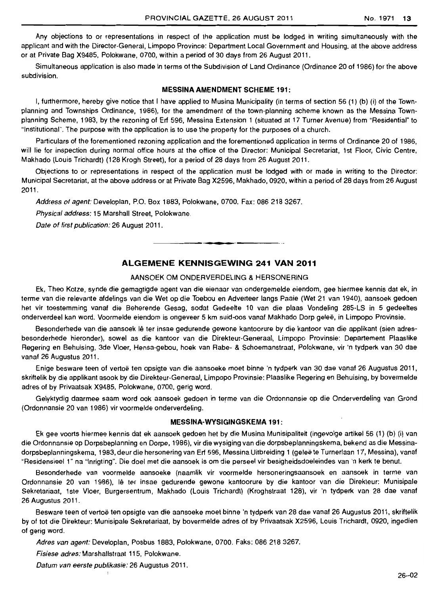Any objections to or representations in respect of the application must be lodged in writing simultaneously with the applicant and with the Director-General, Limpopo Province: Department Local Government and Housing, at the above address or at Private Bag X9485, Polokwane, 0700, within a period of 30 days from 26 August 2011.

Simultaneous application is also made in terms of the Subdivision of Land Ordinance (Ordinance 20 of 1986) for the above subdivision.

#### MESSINA AMENDMENT SCHEME 191:

I, furthermore, hereby give notice that I have applied to Musina Municipality (in terms of section 56 (1) (b) (i) of the Townplanning and Townships Ordinance, 1986), for the amendment of the town-planning scheme known as the Messina Townplanning Scheme, 1983, by the rezoning of Erf 596, Messina Extension 1 (situated at 17 Turner Avenue) from "Residential" to "Institutional". The purpose with the application is to use the property for the purposes of a church.

Particulars of the forementioned rezoning application and the forementioned application in terms of Ordinance 20 of 1986, will lie for inspection during normal office hours at the office of the Director: Municipal Secretariat, 1st Floor, Civic Centre, Makhado (Louis Trichardt) (128 Krogh Street), for a period of 28 days from 26 August 2011.

Objections to or representations in respect of the application must be lodged with or made in writing to the Director: Municipal Secretariat, at the above address or at Private Bag X2596, Makhado, 0920, within a period of 28 days from 26 August 2011.

Address of agent: Developlan, P.O. Box 1883, Polokwane, 0700. Fax: 086 218 3267.

Physical address: 15 Marshall Street, Polokwane.

Date of first publication: 26 August 2011.

# **ALGEMENE KENNISGEWING 241 VAN 2011**

. **- .** 

# AANSOEK OM ONDERVERDELING & HERSONERING

Ek, Thea Kotze, synde die gemagtigde agent van die eienaar van ondergemelde eiendom, gee hiermee kennis dat ek, in terme van die relevante afdelings van die Wet op die Toebou en Adverteer langs Paaie (Wet 21 van 1940), aansoek gedoen het vir toestemming vanaf die Beherende Gesag, sodat Gedeelte 10 van die plaas Vondeling 285·LS in 5 gedeeltes onderverdeel kan word. Voormelde eiendom is ongeveer 5 km suid-oos vanaf Makhado Dorp gelee, in Limpopo Provinsie.

Besonderhede van die aansoek lê ter insae gedurende gewone kantoorure by die kantoor van die applikant (sien adresbesonderhede hieronder), sowel as die kantoor van die Direkteur-Generaal, Limpopo Provinsie: Departement Plaaslike Regering en Behuising, 3de Vloer, Hensa-gebou, hoek van Rabe- & Schoemanstraat, Polokwane, vir 'n tydperk van 30 dae vanaf 26 Augustus 2011.

Enige besware teen of vertoe ten opsigte van die aansoeke moet binne 'n tydperk van 30 dae vanaf 26 Augustus 2011, skriftelik by die applikant asook by die Direkteur-Generaal, Limpopo Provinsie: Plaaslike Regering en Behuising, by bovermelde adres of by Privaatsak X9485, Polokwane, 0700. gerig word.

Gelyktydig daarmee saam word ook aansoek gedoen in terme van die Ordonnansie op die Onderverdeling van Grond (Ordonnansie 20 van 1986) vir voormelde onderverdeling.

#### MESSINA·WYSIGINGSKEMA 191:

Ek gee voorts hiermee kennis dat ek aansoek gedoen het by die Musina Munisipaliteit (ingevolge artikel 56 (1) (b) (i) van die Ordonnansie op Dorpsbeplanning en Dorpe, 1986), vir die wysiging van die dorpsbeplanningskema, bekend as die Messinadorpsbeplanningskema, 1983, deur die hersonering van Erf 596, Messina Uitbreiding 1 (geleë te Turnerlaan 17, Messina), vanaf "Residensieel 1" na "Inrigting". Die doel met die aansoek is om die perseel vir besigheidsdoeleindes van 'n kerk te benut.

Besonderhede van voormelde aansoeke (naamlik vir voormelde hersoneringsaansoek en aansoek in terme van Ordonnansie 20 van 1986), Ie ter insae gedurende gewone kantoorure by die kantoor van die Direkteur: Munisipale Sekretariaat, 1ste Vloer, Burgersentrum, Makhado (Louis Trichardt) (Kroghstraat 128), vir 'n tydperk van 28 dae vanaf 26 Augustus 2011.

Besware teen of vertoë ten opsigte van die aansoeke moet binne 'n tydperk van 28 dae vanaf 26 Augustus 2011, skriftelik by of tot die Direkteur: Munisipale Sekretariaat, by bovermelde adres of by Privaatsak X2596, Louis Trichardt, 0920, ingedien of gerig word.

Adres van agent: Developlan, Posbus 1883, Polokwane, 0700. Faks: 086 218 3267.

Fisiese adres: Marshallstraat 115, Polokwane.

Datum van eerste publikasie: 26 Augustus 2011.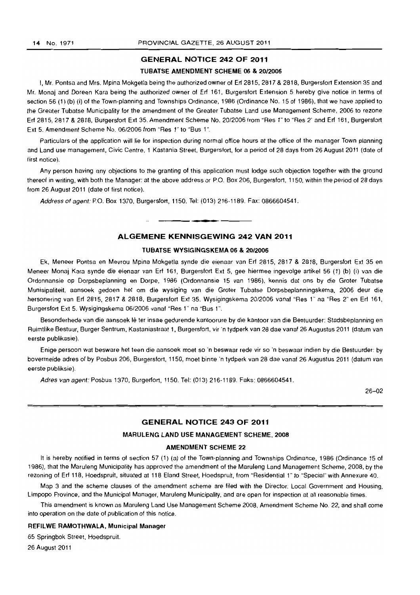# GENERAL NOTICE 242 OF 2011

#### TUBATSE AMENDMENT SCHEME 06 & *20/2006*

I, Mr. Pontsa and Mrs. Mpina Mokgetla being the authorized owner of Erf 2815, 2817 & 2818, Burgersfort Extension 35 and Mr. Monaj and Doreen Kara being the authorized owner of Erf 161, Burgersfort Extension 5 hereby give notice in terms of section 56 (1) (b) (i) of the Town-planning and Townships Ordinance, 1986 (Ordinance No. 15 of 1986), that we have applied to the Greater Tubatse Municipality for the amendment of the Greater Tubatse Land use Management Scheme, 2006 to rezone Erf 2815,2817 & 2818, Burgersfort Ext 35. Amendment Scheme No. 20/2006 from "Res 1" to "Res 2" and Erf 161, Burgersfort Ext 5. Amendment Scheme No. 06/2006 from "Res 1" to "Bus 1".

Particulars of the application will lie for inspection during normal office hours at the office of the manager Town planning and Land use management, Civic Centre, 1 Kastania Street, Burgersfort, for a period of 28 days from 26 August 2011 (date of first notice).

Any person having any objections to the granting of this application must lodge such objection together with the ground thereof in writing, with both the Manager: at the above address or P.O. Box 206, Burgersfort, 1150, within the period of 28 days from 26 August 2011 (date of first notice).

Address of agent: P.O. Box 1370, Burgersfort, 1150. Tel: (013) 216-1189. Fax: 0866604541.

# ALGEMENE KENNISGEWING 242 VAN 2011

. **- .** 

#### TUBATSE WYSIGINGSKEMA 06 & *20/2006*

Ek, Meneer Pontsa en Mevrou Mpina Mokgetla synde die eienaar van Erf 2815, 2817 & 2818, Burgersfort Ext 35 en Meneer Monaj Kara synde die eienaar van Erf 161, Burgersfort Ext 5, gee hiermee ingevolge artikel 56 (1) (b) (i) van die Ordonnansie op Dorpsbeplanning en Dorpe, 1986 (Ordonnansie 15 van 1986), kennis dat ons by die Groter Tubatse Munisipaliteit, aansoek gedoen het om die wysiging van die Groter Tubatse Dorpsbeplanningskema, 2006 deur die hersonering van Erf 2815, 2817 & 2818, Burgersfort Ext 35. Wysigingskema 20/2006 vanaf "Res 1" na "Res 2" en Erf 161, Burgersfort Ext 5. Wysigingskema 06/2006 vanaf "Res 1" na "Bus 1".

Besonderhede van die aansoek Ie ter insae gedurende kantoorure by die kantoor van die Bestuurder: Stadsbeplanning en Ruimtlike Bestuur, Burger Sentrum, Kastaniastraat 1, Burgersfort, vir'n tydperk van 28 dae vanaf 26 Augustus 2011 (datum van eerste publikasie).

Enige persoon waf besware het teen die aansoek moet so 'n beswaar rede vir so 'n beswaar indien by die Bestuurder: by bovermelde adres of by Posbus 206, Burgersfort, 1150, moet binne 'n tydperk van 28 dae vanaf 26 Augustus 2011 (datum van eerste publiksie).

Adres van agent: Posbus 1370, Burgerfort, 1150. Tel: (013) 216-1189. Faks: 0866604541.

26-02

# GENERAL NOTICE 243 OF 2011

#### MARULENG LAND USE MANAGEMENT SCHEME, 2008

#### AMENDMENT SCHEME 22

It is hereby notified in terms of section 57 (1) (a) of the Town-planning and Townships Ordinance, 1986 (Ordinance 15 of 1986), that the Maruleng Municipality has approved the amendment of the Maruleng Land Management Scheme, 2008, by the rezoning of Erf 118, Hoedspruit, situated at 118 Eland Street, Hoedspruit, from "Residential 1" to "Special" with Annexure 40.

Map 3 and the scheme clauses of the amendment scheme are filed with the Director: Local Government and Housing, limpopo Province, and the Municipal Manager, Maruleng Municipality, and are open for inspection at all reasonable times.

This amendment is known as Maruleng Land Use Management Scheme 2008, Amendment Scheme No, 22, and shall come into operation on the date of publication of this notice.

#### REFllWE RAMOTHWALA, Municipal Manager

65 Springbok Street, Hoedspruit.

26 August 2011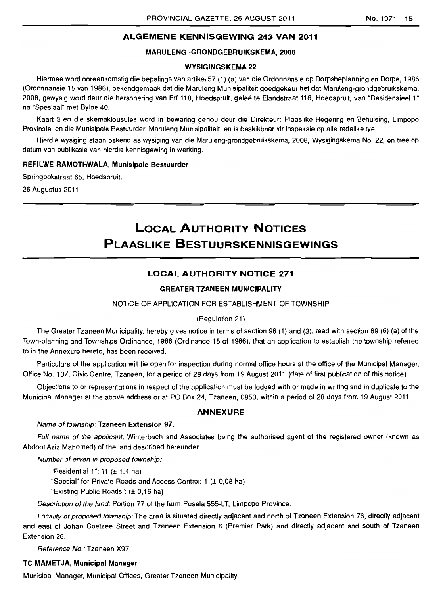# **ALGEMENE KENNISGEWING 243 VAN 2011**

# MARULENG -GRONDGEBRUIKSKEMA, 2008

# WYSIGINGSKEMA 22

Hiermee word ooreenkomstig die bepalings van artikel 57 (1) (a) van die Ordonnansie op Dorpsbeplanning en Dorpe, 1986 (Ordonnansie 15 van 1986), bekendgemaak dat die Maruleng Munisipaliteit goedgekeur het dat Maruleng-grondgebruikskema, 2008, gewysig word deur die hersonering van Erf 118, Hoedspruit, gelee te Elandstraat 118, Hoedspruit, van "Residensieel 1" na "Spesiaal" met Bylae 40.

Kaart 3 en die skemaklousules word in bewaring gehou deur die Direkteur: Plaaslike Regering en Behuising, Limpopo Provinsie, en die Munisipale Bestuurder, Maruleng Munisipaliteit, en is beskikbaar vir inspeksie op aile redelike tye.

Hierdie wysiging staan bekend as wysiging van die Maruleng-grondgebruikskema, 2008, Wysigingskema No. 22, en tree op datum van publikasie van hierdie kennisgewing in werking.

#### REFILWE RAMOTHWALA, Munisipale Bestuurder

Springbokstraat 65, Hoedspruit.

26 Augustus 2011

# **LOCAL AUTHORITY NOTICES PLAASLIKE BESTUURSKENNISGEWINGS**

# **LOCAL AUTHORITY NOTICE 271**

# GREATER TZANEEN MUNICIPALITY

# NOTICE OF APPLICATION FOR ESTABLISHMENT OF TOWNSHIP

#### (Regulation 21)

The Greater Tzaneen Municipality, hereby gives notice in terms of section 96 (1) and (3), read with section 69 (6) (a) of the Town-planning and Townships Ordinance, 1986 (Ordinance 15 of 1986), that an application to establish the township referred to in the Annexure hereto, has been received.

Particulars of the application will lie open for inspection during normal office hours at the office of the Municipal Manager, Office No. 107, Civic Centre, Tzaneen, for a period of 28 days from 19 August 2011 (date of first publication of this notice).

Objections to or representations in respect of the application must be lodged with or made in writing and in duplicate to the Municipal Manager at the above address or at PO Box 24, Tzaneen, 0850, within a period of 28 days from 19 August 2011.

# **ANNEXURE**

#### Name of township: Tzaneen Extension 97.

Full name of the applicant: Winterbach and Associates being the authorised agent of the registered owner (known as Abdool Aziz Mahomed) of the land described hereunder.

Number of erven in proposed township:

"Residential 1": 11  $(\pm 1.4$  ha)

"Special" for Private Roads and Access Control: 1 (± 0,08 ha)

"Existing Public Roads": (± 0,16 hal

Description of the land: Portion 77 of the farm Pusela 555-LT, Limpopo Province.

Locality of proposed township: The area is situated directly adjacent and north of Tzaneen Extension 76, directly adjacent and east of Johan Coetzee Street and Tzaneen Extension 6 (Premier Park) and directly adjacent and south of Tzaneen Extension 26.

Reference No.: Tzaneen X97.

# **TC MAMETJA, Municipal Manager**

Municipal Manager, Municipal Offices, Greater Tzaneen Municipality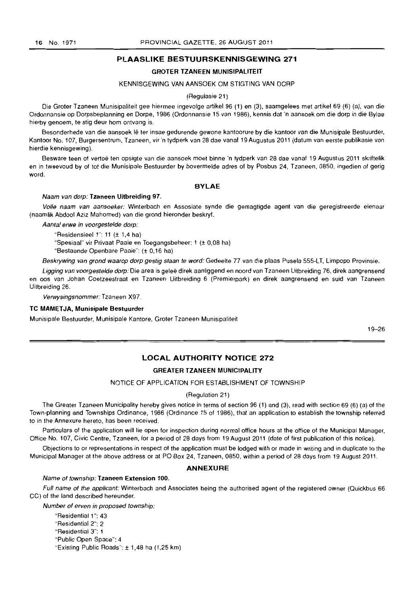# **PLAASLIKE BESTUURSKENNISGEWING** 271

#### GROTER TZANEEN MUNISIPALITEIT

#### KENNISGEWING VAN AANSOEK OM STIGTING VAN DORP

(Regulasie 21)

Die Grater Tzaneen Munisipaliteit gee hiermee ingevolge artikel 96 (1) en (3), saamgelees met artikel 69 (6) (a), van die Ordonnansie op Dorpsbeplanning en Dorpe, 1986 (Ordonnansie 15 van 1986), kennis dat 'n aansoek om die dorp in die Bylae hierby genoem, te stig deur hom ontvang is.

Besonderhede van die aansoek lê ter insae gedurende gewone kantoorure by die kantoor van die Munisipale Bestuurder, Kantoor No.1 07, Burgersentrum, Tzaneen, vir 'n tydperk van 28 dae vanaf 19 Augustus 2011 (datum van eerste publikasie van hierdie kennisgewing).

Besware teen of vertoë ten opsigte van die aansoek moet binne 'n tydperk van 28 dae vanaf 19 Augustus 2011 skriftelik en in tweevoud by of tot die Munisipale Bestuurder by bovermelde adres of by Posbus 24, Tzaneen, 0850, ingedien of gerig word.

#### BYLAE

#### Naam van dorp: Tzaneen Uitbreiding 97.

Volle naam van aansoeker: Winterbach en Assosiate synde die gemagtigde agent van die geregistreerde eienaar (naamlik Abdool Aziz Mahomed) van die grand hieronder beskryf.

Aantal erwe in voorgestelde dorp:

"Residensieel 1": 11  $(\pm 1.4$  ha) "Spesiaal" vir Privaat Paaie en Toegangsbeheer: 1 (± 0,08 hal "Bestaande Openbare Paaie": (± 0,16 hal

Beskrywing van grond waarop dorp gestig staan te word: Gedeelte 77 van die plaas Pusela 555-LT, Limpopo Provinsie.

Ligging van voorgestelde dorp: Die area is geleë direk aanliggend en noord van Tzaneen Uitbreiding 76, direk aangrensend en oos van Johan Coetzeestraat en Tzaneen Uitbreiding 6 (Premierpark) en direk aangrensend en suid van Tzaneen Uitbreiding 26.

Verwysingsnommer: Tzaneen X97.

#### **TC MAMETJA, Munisipale Bestuurder**

Munisipale Bestuurder, Munisipale Kantore, Groter Tzaneen Munisipaliteit

19-26

# **LOCAL AUTHORITY NOTICE** 272

#### GREATER TZANEEN MUNICIPALITY

NOTICE OF APPLICATION FOR ESTABLISHMENT OF TOWNSHIP

#### (Regulation 21)

The Greater Tzaneen Municipality hereby gives notice in terms of section 96 (1) and (3), read with section 69 (6) (a) of the Town-planning and Townships Ordinance, 1986 (Ordinance 15 of 1986), that an application to establish the township referred to in the Annexure hereto, has been received.

Particulars of the application will lie open for inspection during normal office hours at the office of the Municipal Manager, Office No. 107, Civic Centre, Tzaneen, for a period of 28 days from 19 August 2011 (date of first publication of this notice).

Objections to or representations in respect of the application must be lodged with or made in writing and in duplicate to the Municipal Manager at the above address or at PO Box 24, Tzaneen, 0850, within a period of 28 days from 19 August 2011.

#### ANNEXURE

#### Name of township: Tzaneen Extension 100.

Full name of the applicant: Winterbach and Associates being the authorised agent of the registered owner (Quickbus 66 CC) of the land described hereunder.

Number of erven in proposed township:

"Residential 1 ": 43 "Residential 2": 2 "Residential 3": 1 "Public Open Space": 4 "Existing Public Roads": ± 1,48 ha (1,25 km)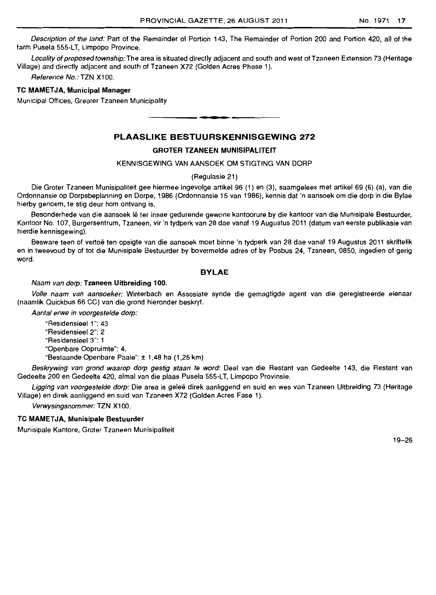Description of the land: Part of the Remainder of Portion 143, The Remainder of Portion 200 and Portion 420, all of the farm Pusela 555-LT, Limpopo Province.

Locality of proposed township: The area is situated directly adjacent and south and west of Tzaneen Extension 73 (Heritage Village) and directly adjacent and south of Tzaneen X72 (Golden Acres Phase 1).

Reference No.: TZN X100.

#### **TC MAMETJA, Municipal Manager**

Municipal Offices, Greater Tzaneen Municipality

# PLAASLIKE BESTUURSKENNISGEWING 272

**- .** 

#### GROTER TZANEEN MUNISIPAlITEIT

#### KENNISGEWING VAN AANSOEK OM STIGTING VAN DORP

#### (Regulasie 21 )

Die Groter Tzaneen Munisipaliteit gee hiermee ingevolga artikel 96 (1) en (3), saamgelees met artikel 69 (6) (a), van die Ordonnansie op Dorpsbeplanning en Dorpe, 1986 (Ordonnansie 15 van 1986), kennis dat 'n aansoek am die dorp in die Bylae hierby genoem. te stig deur hom ontvang is.

Besonderhede van die aansoek lê ter insae gedurende gewone kantoorure by die kantoor van die Munisipale Bestuurder, Kantoor No.1 07, Burgersentrum, Tzaneen, vir 'n tydperk van 28 dae vanaf 19 Augustus 2011 (datum van eerste publikasie van hierdie kennisgewing).

Besware teen of vertoe ten opsigte van die aansoek moet binne 'n tydperk van 28 dae vanaf 19 Augustus 2011 skriftelik en in tweevoud by of tot die Munisipale Bestuurder by bovermelde adres of by Posbus 24, Tzaneen, 0850, ingedien of gerig word.

#### BYLAE

#### Naam van dorp: Tzaneen Uitbreiding 100.

Volle naam van aansoeker: Winterbach en Assosiate synde die gemagtigde agent van die geregistreerde eienaar (naamlik Quickbus 66 CC) van die grond hieronder beskryf.

Aantal erwe in voorgestelde dorp:

"Residensieel 1": 43 "Residensieel 2": 2 "Residensieel 3": 1 "Openbare Oopruimte": 4. "Bestaande Openbare Paaie": ± 1,48 ha (1,25 km)

Beskrywing van grond waarop dorp gestig staan te word: Deel van die Restant van Gedeelte 143, die Restant van Gedeelte 200 en Gedeelte 420, almal van die plaas Pusela 555-LT, Limpopo Provinsie.

Ligging van voorgestelde dorp: Die area is geleë direk aanliggend en suid en wes van Tzaneen Uitbreiding 73 (Heritage Village) en direk aanliggend en suid van Tzaneen X72 (Golden Acres Fase 1).

Verwysingsnommer: TZN X100.

# **TC MAMETJA, Munisipale Bestuurder**

Munisipale Kantore, Groter Tzaneen Munisipaliteit

19-26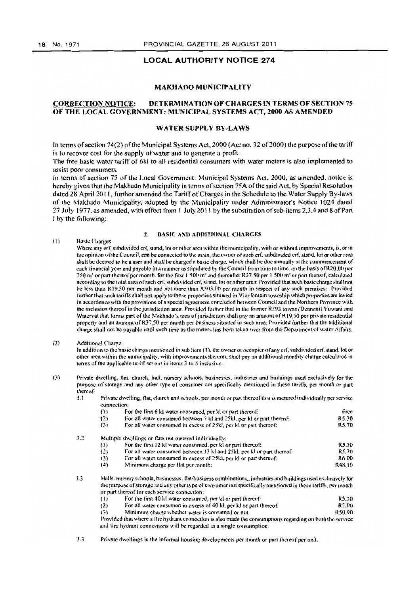# LOCAL AUTHORITY NOTICE 274

#### MAKHADO MUNICIPALITY

# CORRECTION NOTICE: DETERMINATION OF CHARGES IN TERMS OF SECTION 75 OF THE LOCAL GOVERNMENT: MUNICIPAL SYSTEMS ACT, 2000 AS AMENDED

## WATER SUPPLY BY-LAWS

In terms of section 74(2) of the Municipal Systems Act, 2000 (Act no. 32 of 2000) the purpose of the tariff is to recover cost for the supply of water and to generate a profit.

The free basic water tariff of 6kl to all residential consumers with water meters is also implemented to assist poor consumers.

In terms of section 75 of the Local Government: Municipal Systems Act, 2000, as amended, notice is hereby given that the Makhudo Municipality in tenns of section 75A ofthe said Act, by Special Resolution dated 28 April 2011, further amended the Tariff of Charges in the Schedule to the Water Supply By-laws of the Makhado Municipality, adopted by the Municipality under Administrator's Notice 1024 dated 27 July 1977, as amended, with effect from 1 July 2011 by the substitution of sub-items 2,3.4 and 8 of Part I by the following:

#### 2. BASIC AND ADDITIONAL CHARGES

- (1) Basic Charges Where any erf. suhdivided erf, stand, lot or other area within the municipality, with or without improvements, is, or in the opinion of the Council, can be connected to the main, the owner of such erf, subdivided crf, stand, lot or other area shall be deemed to be a user and shall be charged a basic charge, which shall be due annually at the commencement of each financial year and nayable in a manner as stipulated by the Council from time to time, on the basis of R20.00 per *ISO* m<sup>2</sup> or part thereof per month. for the first 1.500 m<sup>2</sup> and thereafter R37.50 per 1.500 m<sup>2</sup> or part thereof, calculated according to the total area of such erf, subdivided erf, stand, (o) or other area: Provided that such basic charge shall not be less than R19.50 per month and not more than R503,00 per month in respect of any such premises: Provided lurther that such tariffs shall not apply to those properties situated in Vleyfontein township which properties are levied in accordance with the provisions of a special agreement concluded between Council and the Northern Province with the inclusion thereof in the jurisdiction area: Provided further that in the former R293 towns (Dzanani) Vuwani and Watcryal that forms part of the Makhado's area of jurisdiction shall pay an amount of R19,50 per private residential property and an amount of R37.50 per month per business situated in such area: Provided further that the additional charge shall not be payable until such time as the meters has been taken over from the Department of water Affairs.
- (2) Additional Charge

In addition to the hasic charge mentioned in sub-item (1), the owner or occupier of any erf. subdivided erf. stand, lot or other area within the manicipality, with improvements thereon, shall pny an additional mouthly charge calculated in terms of the applicable tariff set out in items 3 to 5 inclusive.

- (3) Private dwelling, flat. church, hall, nursery schools, husinesses, industries and buildings used exclusively for the purpose of storage and any other type of consumer not specifically mentioned in these tariffs, per month or part thereof:
	- 3.1 Private dwelling, flat, church and schools, per month or part thereof that is metered individually per service connection:

|     | (1)                                                                          | Free                                                                   |        |
|-----|------------------------------------------------------------------------------|------------------------------------------------------------------------|--------|
|     | For all water consumed between 7 kl and 25kl, per kl or part thereof:<br>(2) |                                                                        | R5.30  |
|     | (3)                                                                          | For all water consumed in excess of 25kl, per kl or part thereof:      | R5.70  |
| 3.2 | Multiple dwellings or flats not metered individually:                        |                                                                        |        |
|     | $\{1\}$                                                                      | For the first 12 kl water consumed, per kl or part thereof:            | R5.30  |
|     | (2)                                                                          | For all water consumed between 13 kl and 25kl, per kl or part thereof: | R5.70  |
|     | (3)                                                                          | For all water consumed in excess of 25kl, ner kl or part thereof:      | R6.00  |
|     | (4)                                                                          | Minimum charge per flat per month:                                     | R48.10 |

3.3 Halls, nursery schools, businesses. flat/business combinations, industries and buildings used exchisively for the purpose of storage and any other type of consumer not specifically mentioned in these tariffs, per month or part thereof for each service connection:

| For the first 40 kt water consumed, per kl or part thereof:<br>(I) | R5.30 |
|--------------------------------------------------------------------|-------|
|--------------------------------------------------------------------|-------|

(2) For all water consumed in excess of  $40 \text{ kJ}$ , per kI or part thereof:  $R7,00$ <br>(3) Minimum charge whether water is consumed or not:  $R50.90$ 

Minimum charge whether water is consumed or not.

Provided that where a fire hydrant connection is also made the consomptions regarding on both the service and fire hydrant connections will be regarded as a single consumption.

 $3.3$  Private dwellings in the informal housing developments per month or part thereof per unit.